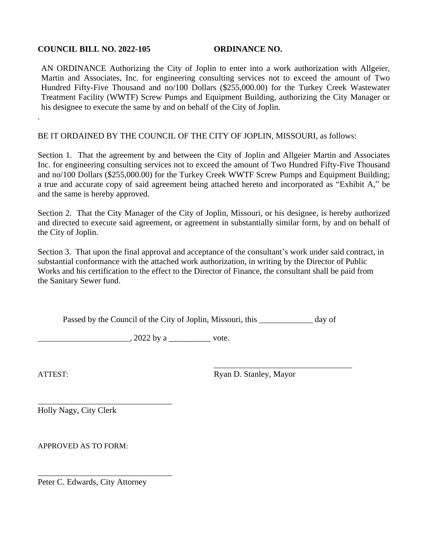## **COUNCIL BILL NO. 2022-105 ORDINANCE NO.**

AN ORDINANCE Authorizing the City of Joplin to enter into a work authorization with Allgeier, Martin and Associates, Inc. for engineering consulting services not to exceed the amount of Two Hundred Fifty-Five Thousand and no/100 Dollars (\$255,000.00) for the Turkey Creek Wastewater Treatment Facility (WWTF) Screw Pumps and Equipment Building, authorizing the City Manager or his designee to execute the same by and on behalf of the City of Joplin.

BE IT ORDAINED BY THE COUNCIL OF THE CITY OF JOPLIN, MISSOURI, as follows:

Section 1. That the agreement by and between the City of Joplin and Allgeier Martin and Associates Inc. for engineering consulting services not to exceed the amount of Two Hundred Fifty-Five Thousand and no/100 Dollars (\$255,000.00) for the Turkey Creek WWTF Screw Pumps and Equipment Building; a true and accurate copy of said agreement being attached hereto and incorporated as "Exhibit A," be and the same is hereby approved.

Section 2. That the City Manager of the City of Joplin, Missouri, or his designee, is hereby authorized and directed to execute said agreement, or agreement in substantially similar form, by and on behalf of the City of Joplin.

Section 3. That upon the final approval and acceptance of the consultant's work under said contract, in substantial conformance with the attached work authorization, in writing by the Director of Public Works and his certification to the effect to the Director of Finance, the consultant shall be paid from the Sanitary Sewer fund.

Passed by the Council of the City of Joplin, Missouri, this day of

 $\frac{1}{2022 \text{ by a}}$   $\frac{1}{2022 \text{ by a}}$  vote.

.

ATTEST: Ryan D. Stanley, Mayor

\_\_\_\_\_\_\_\_\_\_\_\_\_\_\_\_\_\_\_\_\_\_\_\_\_\_\_\_\_\_\_\_\_\_\_\_

\_\_\_\_\_\_\_\_\_\_\_\_\_\_\_\_\_\_\_\_\_\_\_\_\_\_\_\_\_\_\_\_\_\_\_ Holly Nagy, City Clerk

APPROVED AS TO FORM:

Peter C. Edwards, City Attorney

\_\_\_\_\_\_\_\_\_\_\_\_\_\_\_\_\_\_\_\_\_\_\_\_\_\_\_\_\_\_\_\_\_\_\_